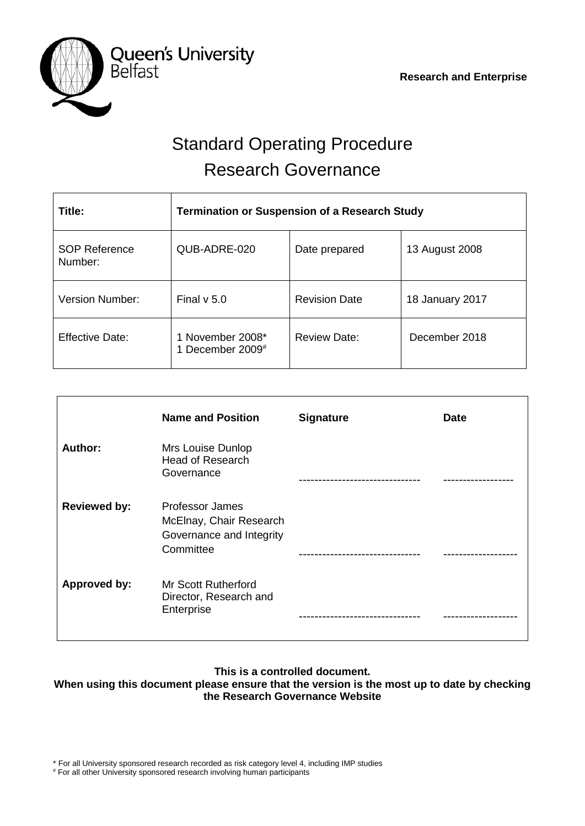

# Standard Operating Procedure Research Governance

| Title:                          | <b>Termination or Suspension of a Research Study</b> |                      |                 |
|---------------------------------|------------------------------------------------------|----------------------|-----------------|
| <b>SOP Reference</b><br>Number: | QUB-ADRE-020                                         | Date prepared        | 13 August 2008  |
| Version Number:                 | Final $v$ 5.0                                        | <b>Revision Date</b> | 18 January 2017 |
| <b>Effective Date:</b>          | 1 November 2008*<br>1 December 2009#                 | <b>Review Date:</b>  | December 2018   |

|                     | <b>Name and Position</b>                                                            | <b>Signature</b> | <b>Date</b> |
|---------------------|-------------------------------------------------------------------------------------|------------------|-------------|
| Author:             | Mrs Louise Dunlop<br><b>Head of Research</b><br>Governance                          |                  |             |
| <b>Reviewed by:</b> | Professor James<br>McElnay, Chair Research<br>Governance and Integrity<br>Committee |                  |             |
| <b>Approved by:</b> | Mr Scott Rutherford<br>Director, Research and<br>Enterprise                         |                  |             |

# **This is a controlled document.**

### **When using this document please ensure that the version is the most up to date by checking the Research Governance Website**

# For all other University sponsored research involving human participants

<sup>\*</sup> For all University sponsored research recorded as risk category level 4, including IMP studies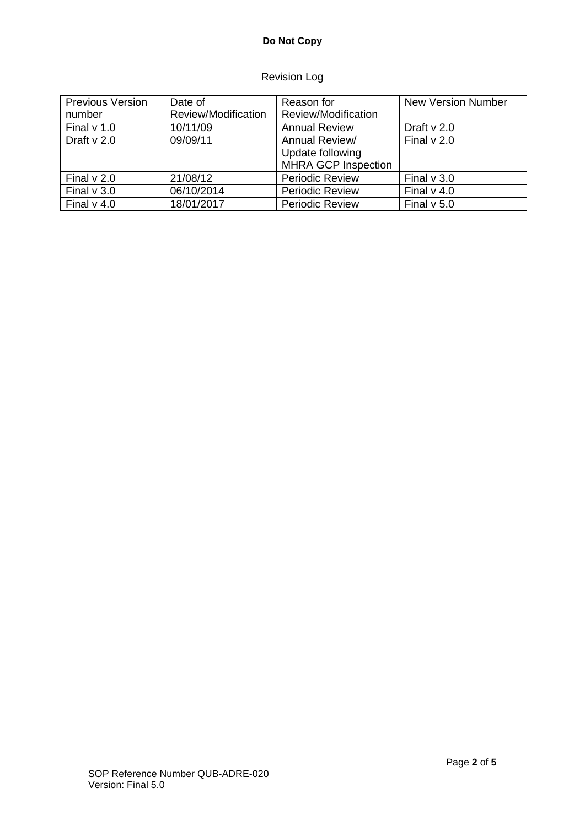# **Do Not Copy**

## Revision Log

| <b>Previous Version</b><br>number | Date of<br>Review/Modification | Reason for<br>Review/Modification                                | <b>New Version Number</b> |
|-----------------------------------|--------------------------------|------------------------------------------------------------------|---------------------------|
| Final $v$ 1.0                     | 10/11/09                       | <b>Annual Review</b>                                             | Draft $v$ 2.0             |
| Draft $v$ 2.0                     | 09/09/11                       | Annual Review/<br>Update following<br><b>MHRA GCP Inspection</b> | Final $v$ 2.0             |
| Final $v$ 2.0                     | 21/08/12                       | <b>Periodic Review</b>                                           | Final $v$ 3.0             |
| Final $v$ 3.0                     | 06/10/2014                     | <b>Periodic Review</b>                                           | Final $v$ 4.0             |
| Final $v$ 4.0                     | 18/01/2017                     | <b>Periodic Review</b>                                           | Final $v$ 5.0             |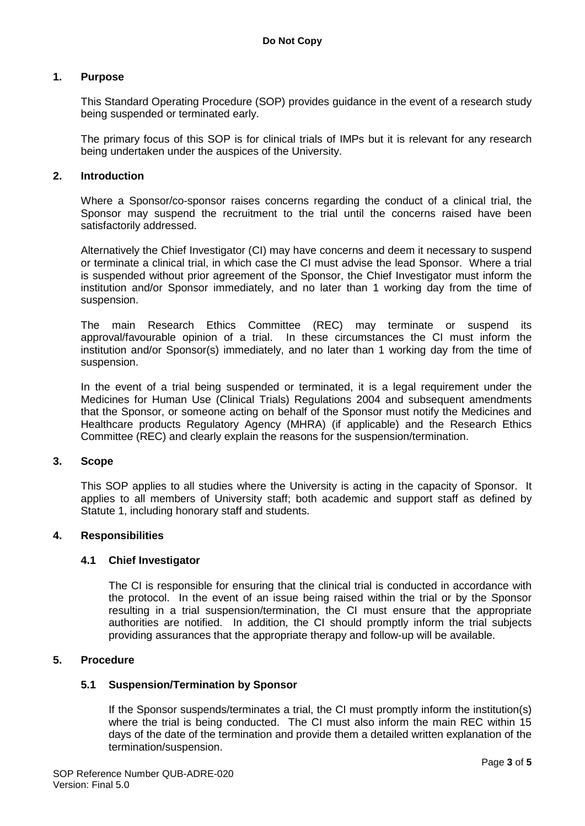#### **1. Purpose**

This Standard Operating Procedure (SOP) provides guidance in the event of a research study being suspended or terminated early.

The primary focus of this SOP is for clinical trials of IMPs but it is relevant for any research being undertaken under the auspices of the University.

#### **2. Introduction**

Where a Sponsor/co-sponsor raises concerns regarding the conduct of a clinical trial, the Sponsor may suspend the recruitment to the trial until the concerns raised have been satisfactorily addressed.

Alternatively the Chief Investigator (CI) may have concerns and deem it necessary to suspend or terminate a clinical trial, in which case the CI must advise the lead Sponsor. Where a trial is suspended without prior agreement of the Sponsor, the Chief Investigator must inform the institution and/or Sponsor immediately, and no later than 1 working day from the time of suspension.

The main Research Ethics Committee (REC) may terminate or suspend its approval/favourable opinion of a trial. In these circumstances the CI must inform the institution and/or Sponsor(s) immediately, and no later than 1 working day from the time of suspension.

In the event of a trial being suspended or terminated, it is a legal requirement under the Medicines for Human Use (Clinical Trials) Regulations 2004 and subsequent amendments that the Sponsor, or someone acting on behalf of the Sponsor must notify the Medicines and Healthcare products Regulatory Agency (MHRA) (if applicable) and the Research Ethics Committee (REC) and clearly explain the reasons for the suspension/termination.

#### **3. Scope**

This SOP applies to all studies where the University is acting in the capacity of Sponsor. It applies to all members of University staff; both academic and support staff as defined by Statute 1, including honorary staff and students.

#### **4. Responsibilities**

#### **4.1 Chief Investigator**

The CI is responsible for ensuring that the clinical trial is conducted in accordance with the protocol. In the event of an issue being raised within the trial or by the Sponsor resulting in a trial suspension/termination, the CI must ensure that the appropriate authorities are notified. In addition, the CI should promptly inform the trial subjects providing assurances that the appropriate therapy and follow-up will be available.

#### **5. Procedure**

#### **5.1 Suspension/Termination by Sponsor**

If the Sponsor suspends/terminates a trial, the CI must promptly inform the institution(s) where the trial is being conducted. The CI must also inform the main REC within 15 days of the date of the termination and provide them a detailed written explanation of the termination/suspension.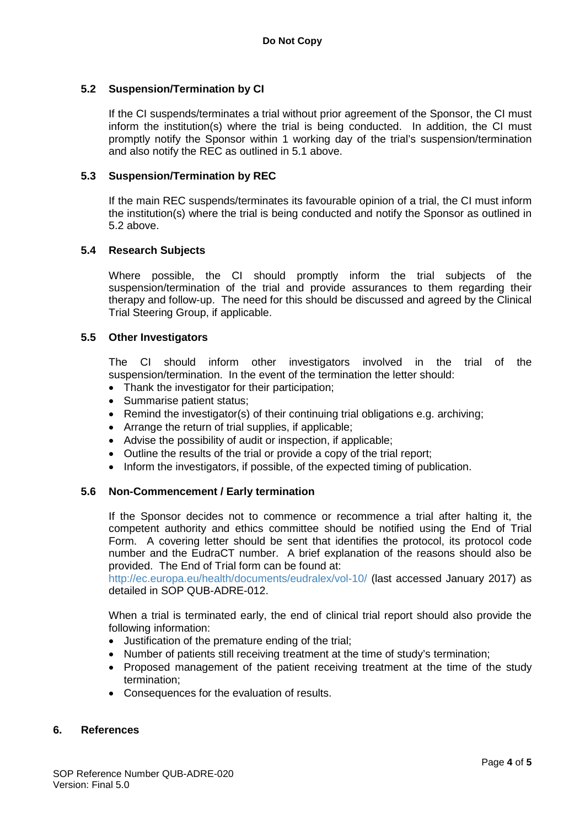#### **5.2 Suspension/Termination by CI**

If the CI suspends/terminates a trial without prior agreement of the Sponsor, the CI must inform the institution(s) where the trial is being conducted. In addition, the CI must promptly notify the Sponsor within 1 working day of the trial's suspension/termination and also notify the REC as outlined in 5.1 above.

#### **5.3 Suspension/Termination by REC**

If the main REC suspends/terminates its favourable opinion of a trial, the CI must inform the institution(s) where the trial is being conducted and notify the Sponsor as outlined in 5.2 above.

#### **5.4 Research Subjects**

Where possible, the CI should promptly inform the trial subjects of the suspension/termination of the trial and provide assurances to them regarding their therapy and follow-up. The need for this should be discussed and agreed by the Clinical Trial Steering Group, if applicable.

#### **5.5 Other Investigators**

The CI should inform other investigators involved in the trial of the suspension/termination. In the event of the termination the letter should:

- Thank the investigator for their participation:
- Summarise patient status;
- Remind the investigator(s) of their continuing trial obligations e.g. archiving;
- Arrange the return of trial supplies, if applicable;
- Advise the possibility of audit or inspection, if applicable;
- Outline the results of the trial or provide a copy of the trial report;
- Inform the investigators, if possible, of the expected timing of publication.

#### **5.6 Non-Commencement / Early termination**

If the Sponsor decides not to commence or recommence a trial after halting it, the competent authority and ethics committee should be notified using the End of Trial Form. A covering letter should be sent that identifies the protocol, its protocol code number and the EudraCT number. A brief explanation of the reasons should also be provided. The End of Trial form can be found at:

<http://ec.europa.eu/health/documents/eudralex/vol-10/> (last accessed January 2017) as detailed in SOP QUB-ADRE-012.

When a trial is terminated early, the end of clinical trial report should also provide the following information:

- Justification of the premature ending of the trial;
- Number of patients still receiving treatment at the time of study's termination;
- Proposed management of the patient receiving treatment at the time of the study termination;
- Consequences for the evaluation of results.

#### **6. References**